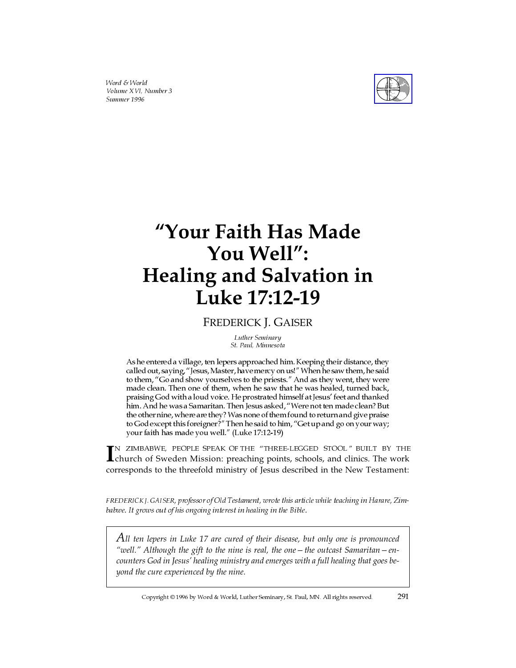Word & World Volume XVI, Number 3 Summer 1996



# **"Your Faith Has Made You Well": Healing and Salvation in Luke 17:12-19**

# FREDERICK J. GAISER

Luther Seminary St. Paul, Minnesota

As he entered a village, ten lepers approached him. Keeping their distance, they called out, saying, "Jesus, Master, have mercy on us!" When he saw them, he said to them, "Go and show yourselves to the priests." And as they went, they were made clean. Then one of them, when he saw that he was healed, turned back, praising God with a loud voice. He prostrated himself at Jesus' feet and thanked him. And he was a Samaritan. Then Jesus asked, "Were not ten made clean? But the other nine, where are they?Was none of them found to return and give praise to God except this foreigner?" Then he said to him, "Get up and go on your way; your faith has made you well." (Luke 17:12-19)

IN ZIMBABWE, PEOPLE SPEAK OF THE "THREE-LEGGED STOOL" BUILT BY THE church of Sweden Mission: preaching points, schools, and clinics. The work church of Sweden Mission: preaching points, schools, and clinics. The work corresponds to the threefold ministry of Jesus described in the New Testament:

FREDERICK J. GAISER, professor of Old Testament, wrote this article while teaching in Harare, Zimbabwe. It grows out of his ongoing interest in healing in the Bible.

*All ten lepers in Luke 17 are cured of their disease, but only one is pronounced "well." Although the gift to the nine is real, the one—the outcast Samaritan—encounters God in Jesus' healing ministry and emerges with a full healing that goes beyond the cure experienced by the nine.*

Copyright © 1996 by Word & World, Luther Seminary, St. Paul, MN. All rights reserved. 291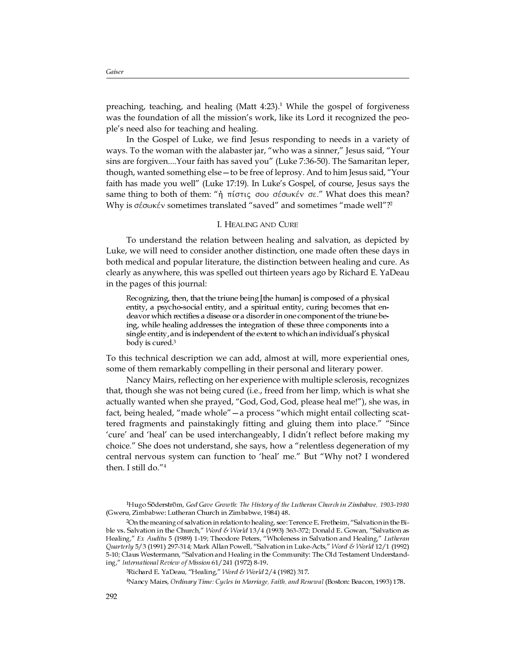preaching, teaching, and healing (Matt  $4:23$ ).<sup>1</sup> While the gospel of forgiveness was the foundation of all the mission's work, like its Lord it recognized the people's need also for teaching and healing.

In the Gospel of Luke, we find Jesus responding to needs in a variety of ways. To the woman with the alabaster jar, "who was a sinner," Jesus said, "Your sins are forgiven....Your faith has saved you" (Luke 7:36-50). The Samaritan leper, though, wanted something else—to be free of leprosy. And to him Jesus said, "Your faith has made you well" (Luke 17:19). In Luke's Gospel, of course, Jesus says the same thing to both of them: " $\hat{\eta}$  πίστις σου σέσωκέν σε." What does this mean? Why is  $\sigma$ *έσωκέν* sometimes translated "saved" and sometimes "made well"?<sup>2</sup>

#### I. HEALING AND CURE

To understand the relation between healing and salvation, as depicted by Luke, we will need to consider another distinction, one made often these days in both medical and popular literature, the distinction between healing and cure. As clearly as anywhere, this was spelled out thirteen years ago by Richard E. YaDeau in the pages of this journal:

Recognizing, then, that the triune being [the human] is composed of a physical entity, a psycho-social entity, and a spiritual entity, curing becomes that endeavor which rectifies a disease or a disorder in one component of the triune being, while healing addresses the integration of these three components into a single entity, and is independent of the extent to which an individual's physical body is cured.<sup>3</sup>

To this technical description we can add, almost at will, more experiential ones, some of them remarkably compelling in their personal and literary power.

Nancy Mairs, reflecting on her experience with multiple sclerosis, recognizes that, though she was not being cured (i.e., freed from her limp, which is what she actually wanted when she prayed, "God, God, God, please heal me!"), she was, in fact, being healed, "made whole"—a process "which might entail collecting scattered fragments and painstakingly fitting and gluing them into place." "Since 'cure' and 'heal' can be used interchangeably, I didn't reflect before making my choice." She does not understand, she says, how a "relentless degeneration of my central nervous system can function to 'heal' me." But "Why not? I wondered then. I still do."<sup>4</sup>

<sup>3</sup>Richard E. YaDeau, "Healing," Word & World  $2/4$  (1982) 317.

4Nancy Mairs, Ordinary Time: Cycles in Marriage, Faith, and Renewal (Boston: Beacon, 1993) 178.

<sup>1</sup>Hugo Söderström, God Gave Growth: The History of the Lutheran Church in Zimbabwe, 1903-1980 (Gweru, Zimbabwe: Lutheran Church in Zimbabwe, 1984) 48.

 $2$ On the meaning of salvation in relation to healing, see: Terence E. Fretheim, "Salvation in the Bible vs. Salvation in the Church," *Word & World* 13/4 (1993) 363-372; Donald E. Gowan, "Salvation as Healing," Ex Auditu 5 (1989) 1-19; Theodore Peters, "Wholeness in Salvation and Healing," Lut*heran* Quarterly 5/3 (1991) 297-314; Mark Allan Powell, "Salvation in Luke-Acts," Word & World 12/1 (1992) 5-10; Claus Westermann, "Salvation and Healing in the Community: The Old Testament Understanding," International Review of Mission 61/241 (1972) 8-19.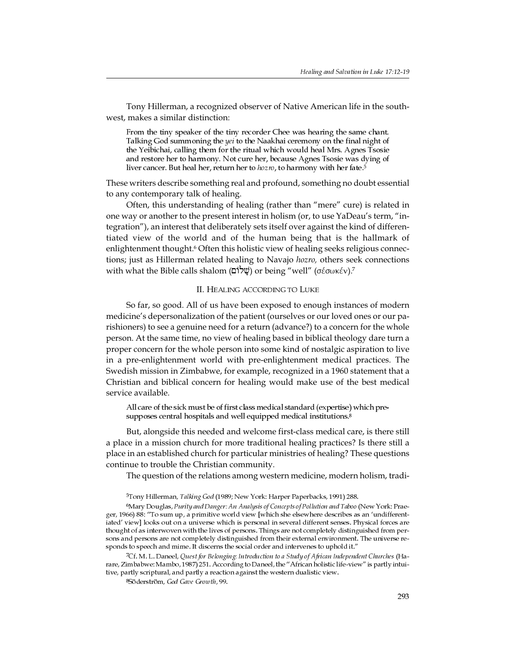Tony Hillerman, a recognized observer of Native American life in the southwest, makes a similar distinction:

From the tiny speaker of the tiny recorder Chee was hearing the same chant. Talking God summoning the yei to the Naakhai ceremony on the final night of the Yeibichai, calling them for the ritual which would heal Mrs. Agnes Tsosie and restore her to harmony. Not cure her, because Agnes Tsosie was dying of liver cancer. But heal her, return her to hozro, to harmony with her fate.<sup>5</sup>

These writers describe something real and profound, something no doubt essential to any contemporary talk of healing.

Often, this understanding of healing (rather than "mere" cure) is related in one way or another to the present interest in holism (or, to use YaDeau's term, "integration"), an interest that deliberately sets itself over against the kind of differentiated view of the world and of the human being that is the hallmark of enlightenment thought.<sup>6</sup> Often this holistic view of healing seeks religious connections; just as Hillerman related healing to Navajo *hozro,* others seek connections with what the Bible calls shalom (שֲׁלוֹם) or being "well" (σέσωκέν).<sup>7</sup>

## II. HEALING ACCORDING TO LUKE

So far, so good. All of us have been exposed to enough instances of modern medicine's depersonalization of the patient (ourselves or our loved ones or our parishioners) to see a genuine need for a return (advance?) to a concern for the whole person. At the same time, no view of healing based in biblical theology dare turn a proper concern for the whole person into some kind of nostalgic aspiration to live in a pre-enlightenment world with pre-enlightenment medical practices. The Swedish mission in Zimbabwe, for example, recognized in a 1960 statement that a Christian and biblical concern for healing would make use of the best medical service available.

All care of the sick must be of first class medical standard (expertise) which presupposes central hospitals and well equipped medical institutions.<sup>8</sup>

But, alongside this needed and welcome first-class medical care, is there still a place in a mission church for more traditional healing practices? Is there still a place in an established church for particular ministries of healing? These questions continue to trouble the Christian community.

The question of the relations among western medicine, modern holism, tradi-

5Tony Hillerman, Talking God (1989; New York: Harper Paperbacks, 1991) 288.

6Mary Douglas, Purity and Danger: An Analysis of Concepts of Pollution and Taboo (New York: Praeger, 1966) 88: To sum up, a primitive world view [which she elsewhere describes as an undifferentiated' view] looks out on a universe which is personal in several different senses. Physical forces are thought of as interwoven with the lives of persons. Things are not completely distinguished from persons and persons are not completely distinguished from their external environment. The universe responds to speech and mime. It discerns the social order and intervenes to uphold it.

7Cf. M. L. Daneel, Quest for Belonging: Introduction to a Study of African Independent Churches (Harare, Zimbabwe: Mambo, 1987) 251. According to Daneel, the "African holistic life-view" is partly intuitive, partly scriptural, and partly a reaction against the western dualistic view.

8Söderström, God Gave Growth, 99.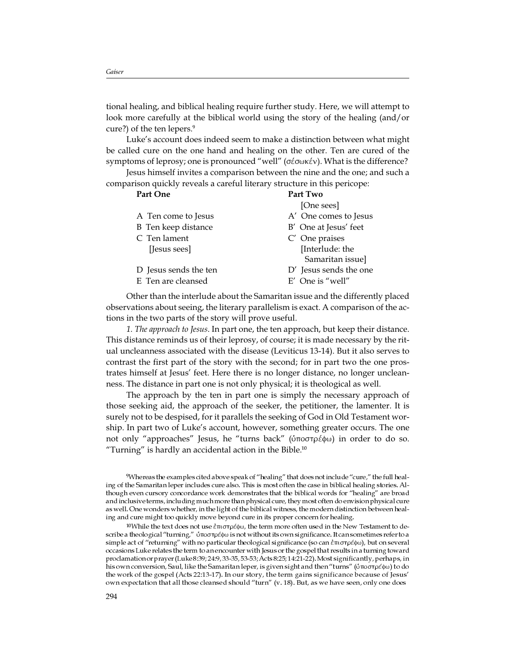tional healing, and biblical healing require further study. Here, we will attempt to look more carefully at the biblical world using the story of the healing (and/or cure?) of the ten lepers.<sup>9</sup>

Luke's account does indeed seem to make a distinction between what might be called cure on the one hand and healing on the other. Ten are cured of the symptoms of leprosy; one is pronounced "well" (σέσωκέν). What is the difference?

Jesus himself invites a comparison between the nine and the one; and such a comparison quickly reveals a careful literary structure in this pericope:

| Part One              | Part Two               |
|-----------------------|------------------------|
|                       | [One sees]             |
| A Ten come to Jesus   | A' One comes to Jesus  |
| B Ten keep distance   | B' One at Jesus' feet  |
| C Ten lament          | C' One praises         |
| [Jesus sees]          | [Interlude: the        |
|                       | Samaritan issue]       |
| D Jesus sends the ten | D' Jesus sends the one |
| E Ten are cleansed    | $E'$ One is "well"     |
|                       |                        |

Other than the interlude about the Samaritan issue and the differently placed observations about seeing, the literary parallelism is exact. A comparison of the actions in the two parts of the story will prove useful.

*1. The approach to Jesus*. In part one, the ten approach, but keep their distance. This distance reminds us of their leprosy, of course; it is made necessary by the ritual uncleanness associated with the disease (Leviticus 13-14). But it also serves to contrast the first part of the story with the second; for in part two the one prostrates himself at Jesus' feet. Here there is no longer distance, no longer uncleanness. The distance in part one is not only physical; it is theological as well.

The approach by the ten in part one is simply the necessary approach of those seeking aid, the approach of the seeker, the petitioner, the lamenter. It is surely not to be despised, for it parallels the seeking of God in Old Testament worship. In part two of Luke's account, however, something greater occurs. The one not only "approaches" Jesus, he "turns back" (ὑποστρέφω) in order to do so. "Turning" is hardly an accidental action in the Bible. $10$ 

 $9$ Whereas the examples cited above speak of "healing" that does not include "cure," the full healing of the Samaritan leper includes cure also. This is most often the case in biblical healing stories. Although even cursory concordance work demonstrates that the biblical words for "healing" are broad and inclusive terms, including much more than physical cure, they most often do envision physical cure as well. One wonders whether, in the light of the biblical witness, the modern distinction between healing and cure might too quickly move beyond cure in its proper concern for healing.

<sup>&</sup>lt;sup>10</sup>While the text does not use επιστρέφω, the term more often used in the New Testament to describe a theological "turning," ύποστρέφω is not without its own significance. It can sometimes refer to a simple act of "returning" with no particular theological significance (so can επιστρέφω), but on several occasions Luke relates the term to an encounter with Jesus or the gospel that results in a turning toward proclamation or prayer (Luke 8:39; 24:9, 33-35, 53-53; Acts 8:25; 14:21-22).Most significantly, perhaps, in his own conversion, Saul, like the Samaritan leper, is given sight and then "turns" (ύποστρέφω) to do the work of the gospel (Acts 22:13-17). In our story, the term gains significance because of Jesus own expectation that all those cleansed should "turn" (v. 18). But, as we have seen, only one does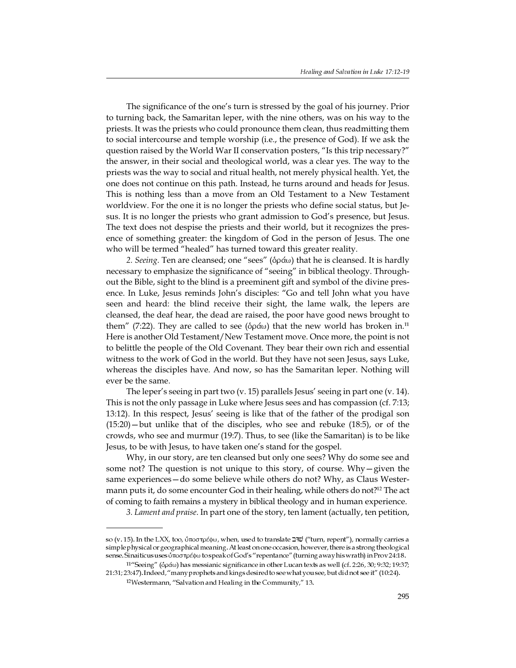The significance of the one's turn is stressed by the goal of his journey. Prior to turning back, the Samaritan leper, with the nine others, was on his way to the priests. It was the priests who could pronounce them clean, thus readmitting them to social intercourse and temple worship (i.e., the presence of God). If we ask the question raised by the World War II conservation posters, "Is this trip necessary?" the answer, in their social and theological world, was a clear yes. The way to the priests was the way to social and ritual health, not merely physical health. Yet, the one does not continue on this path. Instead, he turns around and heads for Jesus. This is nothing less than a move from an Old Testament to a New Testament worldview. For the one it is no longer the priests who define social status, but Jesus. It is no longer the priests who grant admission to God's presence, but Jesus. The text does not despise the priests and their world, but it recognizes the presence of something greater: the kingdom of God in the person of Jesus. The one who will be termed "healed" has turned toward this greater reality.

*2. Seeing.* Ten are cleansed; one "sees" ( $\delta \rho \alpha \omega$ ) that he is cleansed. It is hardly necessary to emphasize the significance of "seeing" in biblical theology. Throughout the Bible, sight to the blind is a preeminent gift and symbol of the divine presence. In Luke, Jesus reminds John's disciples: "Go and tell John what you have seen and heard: the blind receive their sight, the lame walk, the lepers are cleansed, the deaf hear, the dead are raised, the poor have good news brought to them" (7:22). They are called to see ( $\delta \rho \dot{\alpha} \omega$ ) that the new world has broken in.<sup>11</sup> Here is another Old Testament/New Testament move. Once more, the point is not to belittle the people of the Old Covenant. They bear their own rich and essential witness to the work of God in the world. But they have not seen Jesus, says Luke, whereas the disciples have. And now, so has the Samaritan leper. Nothing will ever be the same.

The leper's seeing in part two (v. 15) parallels Jesus' seeing in part one (v. 14). This is not the only passage in Luke where Jesus sees and has compassion (cf. 7:13; 13:12). In this respect, Jesus' seeing is like that of the father of the prodigal son (15:20)—but unlike that of the disciples, who see and rebuke (18:5), or of the crowds, who see and murmur (19:7). Thus, to see (like the Samaritan) is to be like Jesus, to be with Jesus, to have taken one's stand for the gospel.

Why, in our story, are ten cleansed but only one sees? Why do some see and some not? The question is not unique to this story, of course. Why—given the same experiences—do some believe while others do not? Why, as Claus Westermann puts it, do some encounter God in their healing, while others do not?<sup>12</sup> The act of coming to faith remains a mystery in biblical theology and in human experience.

*3. Lament and praise*. In part one of the story, ten lament (actually, ten petition,

so (v. 15). In the LXX, too, ύποστρέφω, when, used to translate שׁוּב "turn, repent"), normally carries a simple physical or geographicalmeaning. At least on one occasion, however, thereis a strong theological sense. Sinaiticus uses ύποστρέφω to speak of God's "repentance" (turning away his wrath) in Prov 24:18.

<sup>&</sup>lt;sup>11</sup>"Seeing" (ὀράω) has messianic significance in other Lucan texts as well (cf. 2:26, 30; 9:32; 19:37; 21:31; 23:47). Indeed, "many prophets and kings desired to see what you see, but did not see it" (10:24).

 $12$ Westermann, "Salvation and Healing in the Community," 13.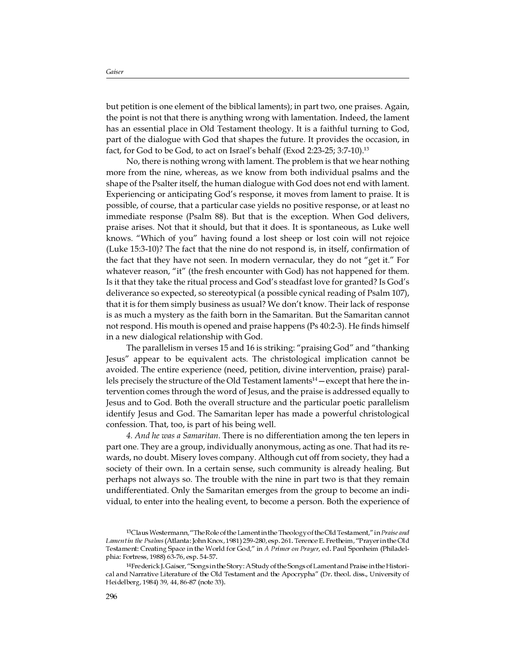but petition is one element of the biblical laments); in part two, one praises. Again, the point is not that there is anything wrong with lamentation. Indeed, the lament has an essential place in Old Testament theology. It is a faithful turning to God, part of the dialogue with God that shapes the future. It provides the occasion, in fact, for God to be God, to act on Israel's behalf (Exod 2:23-25; 3:7-10).<sup>13</sup>

No, there is nothing wrong with lament. The problem is that we hear nothing more from the nine, whereas, as we know from both individual psalms and the shape of the Psalter itself, the human dialogue with God does not end with lament. Experiencing or anticipating God's response, it moves from lament to praise. It is possible, of course, that a particular case yields no positive response, or at least no immediate response (Psalm 88). But that is the exception. When God delivers, praise arises. Not that it should, but that it does. It is spontaneous, as Luke well knows. "Which of you" having found a lost sheep or lost coin will not rejoice (Luke 15:3-10)? The fact that the nine do not respond is, in itself, confirmation of the fact that they have not seen. In modern vernacular, they do not "get it." For whatever reason, "it" (the fresh encounter with God) has not happened for them. Is it that they take the ritual process and God's steadfast love for granted? Is God's deliverance so expected, so stereotypical (a possible cynical reading of Psalm 107), that it is for them simply business as usual? We don't know. Their lack of response is as much a mystery as the faith born in the Samaritan. But the Samaritan cannot not respond. His mouth is opened and praise happens (Ps 40:2-3). He finds himself in a new dialogical relationship with God.

The parallelism in verses 15 and 16 is striking: "praising God" and "thanking Jesus" appear to be equivalent acts. The christological implication cannot be avoided. The entire experience (need, petition, divine intervention, praise) parallels precisely the structure of the Old Testament laments<sup>14</sup> — except that here the intervention comes through the word of Jesus, and the praise is addressed equally to Jesus and to God. Both the overall structure and the particular poetic parallelism identify Jesus and God. The Samaritan leper has made a powerful christological confession. That, too, is part of his being well.

*4. And he was a Samaritan*. There is no differentiation among the ten lepers in part one. They are a group, individually anonymous, acting as one. That had its rewards, no doubt. Misery loves company. Although cut off from society, they had a society of their own. In a certain sense, such community is already healing. But perhaps not always so. The trouble with the nine in part two is that they remain undifferentiated. Only the Samaritan emerges from the group to become an individual, to enter into the healing event, to become a person. Both the experience of

<sup>13</sup> Claus Westermann, "The Role of the Lamentin the Theology of the Old Testament," in Praise and Lament in the Psalms (Atlanta: John Knox, 1981) 259-280, esp. 261. Terence E. Fretheim, "Prayer in the Old Testament: Creating Space in the World for God," in A Primer on Prayer, ed. Paul Sponheim (Philadelphia: Fortress, 1988) 63-76, esp. 54-57.

<sup>14</sup>Frederick J. Gaiser, "Songs in the Story: A Study of the Songs of Lament and Praise in the Historical and Narrative Literature of the Old Testament and the Apocrypha" (Dr. theol. diss., University of Heidelberg, 1984) 39, 44, 86-87 (note 33).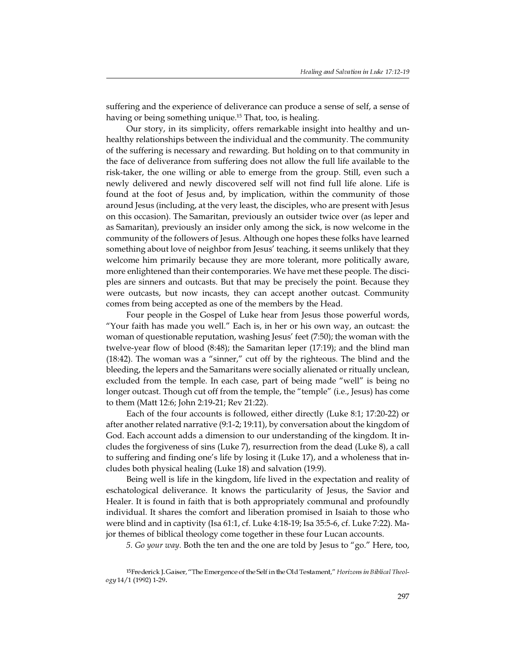suffering and the experience of deliverance can produce a sense of self, a sense of having or being something unique.<sup>15</sup> That, too, is healing.

Our story, in its simplicity, offers remarkable insight into healthy and unhealthy relationships between the individual and the community. The community of the suffering is necessary and rewarding. But holding on to that community in the face of deliverance from suffering does not allow the full life available to the risk-taker, the one willing or able to emerge from the group. Still, even such a newly delivered and newly discovered self will not find full life alone. Life is found at the foot of Jesus and, by implication, within the community of those around Jesus (including, at the very least, the disciples, who are present with Jesus on this occasion). The Samaritan, previously an outsider twice over (as leper and as Samaritan), previously an insider only among the sick, is now welcome in the community of the followers of Jesus. Although one hopes these folks have learned something about love of neighbor from Jesus' teaching, it seems unlikely that they welcome him primarily because they are more tolerant, more politically aware, more enlightened than their contemporaries. We have met these people. The disciples are sinners and outcasts. But that may be precisely the point. Because they were outcasts, but now incasts, they can accept another outcast. Community comes from being accepted as one of the members by the Head.

Four people in the Gospel of Luke hear from Jesus those powerful words, "Your faith has made you well." Each is, in her or his own way, an outcast: the woman of questionable reputation, washing Jesus' feet (7:50); the woman with the twelve-year flow of blood (8:48); the Samaritan leper (17:19); and the blind man (18:42). The woman was a "sinner," cut off by the righteous. The blind and the bleeding, the lepers and the Samaritans were socially alienated or ritually unclean, excluded from the temple. In each case, part of being made "well" is being no longer outcast. Though cut off from the temple, the "temple" (i.e., Jesus) has come to them (Matt 12:6; John 2:19-21; Rev 21:22).

Each of the four accounts is followed, either directly (Luke 8:1; 17:20-22) or after another related narrative (9:1-2; 19:11), by conversation about the kingdom of God. Each account adds a dimension to our understanding of the kingdom. It includes the forgiveness of sins (Luke 7), resurrection from the dead (Luke 8), a call to suffering and finding one's life by losing it (Luke 17), and a wholeness that includes both physical healing (Luke 18) and salvation (19:9).

Being well is life in the kingdom, life lived in the expectation and reality of eschatological deliverance. It knows the particularity of Jesus, the Savior and Healer. It is found in faith that is both appropriately communal and profoundly individual. It shares the comfort and liberation promised in Isaiah to those who were blind and in captivity (Isa 61:1, cf. Luke 4:18-19; Isa 35:5-6, cf. Luke 7:22). Major themes of biblical theology come together in these four Lucan accounts.

*5. Go your way*. Both the ten and the one are told by Jesus to "go." Here, too,

<sup>&</sup>lt;sup>15</sup>Frederick J. Gaiser, "The Emergence of the Self in the Old Testament," Horizons in Biblical Theology 14/1 (1992) 1-29.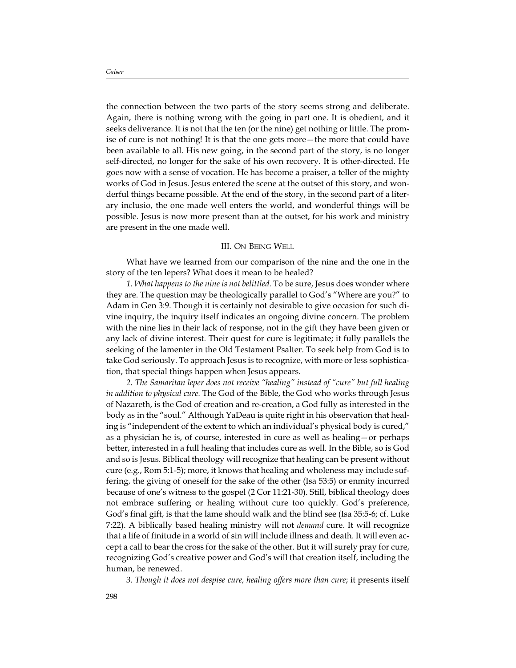the connection between the two parts of the story seems strong and deliberate. Again, there is nothing wrong with the going in part one. It is obedient, and it seeks deliverance. It is not that the ten (or the nine) get nothing or little. The promise of cure is not nothing! It is that the one gets more—the more that could have been available to all. His new going, in the second part of the story, is no longer self-directed, no longer for the sake of his own recovery. It is other-directed. He goes now with a sense of vocation. He has become a praiser, a teller of the mighty works of God in Jesus. Jesus entered the scene at the outset of this story, and wonderful things became possible. At the end of the story, in the second part of a literary inclusio, the one made well enters the world, and wonderful things will be possible. Jesus is now more present than at the outset, for his work and ministry are present in the one made well.

## III. ON BEING WELL

What have we learned from our comparison of the nine and the one in the story of the ten lepers? What does it mean to be healed?

*1. What happens to the nine is not belittled.* To be sure, Jesus does wonder where they are. The question may be theologically parallel to God's "Where are you?" to Adam in Gen 3:9. Though it is certainly not desirable to give occasion for such divine inquiry, the inquiry itself indicates an ongoing divine concern. The problem with the nine lies in their lack of response, not in the gift they have been given or any lack of divine interest. Their quest for cure is legitimate; it fully parallels the seeking of the lamenter in the Old Testament Psalter. To seek help from God is to take God seriously. To approach Jesus is to recognize, with more or less sophistication, that special things happen when Jesus appears.

*2. The Samaritan leper does not receive "healing" instead of "cure" but full healing in addition to physical cure.* The God of the Bible, the God who works through Jesus of Nazareth, is the God of creation and re-creation, a God fully as interested in the body as in the "soul." Although YaDeau is quite right in his observation that healing is "independent of the extent to which an individual's physical body is cured," as a physician he is, of course, interested in cure as well as healing—or perhaps better, interested in a full healing that includes cure as well. In the Bible, so is God and so is Jesus. Biblical theology will recognize that healing can be present without cure (e.g., Rom 5:1-5); more, it knows that healing and wholeness may include suffering, the giving of oneself for the sake of the other (Isa 53:5) or enmity incurred because of one's witness to the gospel (2 Cor 11:21-30). Still, biblical theology does not embrace suffering or healing without cure too quickly. God's preference, God's final gift, is that the lame should walk and the blind see (Isa 35:5-6; cf. Luke 7:22). A biblically based healing ministry will not *demand* cure. It will recognize that a life of finitude in a world of sin will include illness and death. It will even accept a call to bear the cross for the sake of the other. But it will surely pray for cure, recognizing God's creative power and God's will that creation itself, including the human, be renewed.

*3. Though it does not despise cure, healing offers more than cure*; it presents itself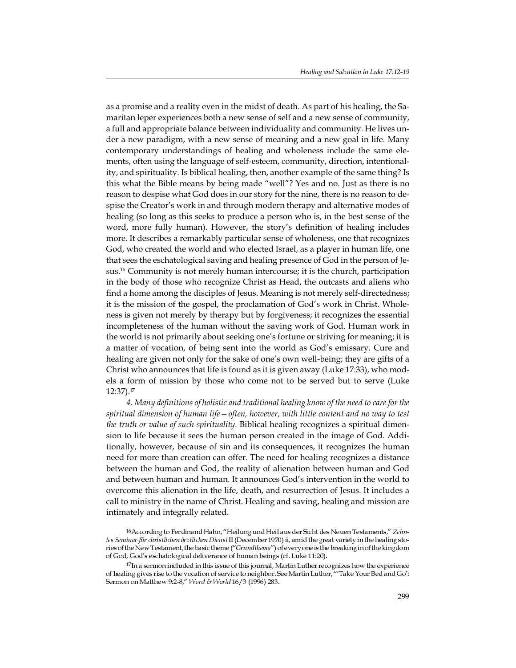as a promise and a reality even in the midst of death. As part of his healing, the Samaritan leper experiences both a new sense of self and a new sense of community, a full and appropriate balance between individuality and community. He lives under a new paradigm, with a new sense of meaning and a new goal in life. Many contemporary understandings of healing and wholeness include the same elements, often using the language of self-esteem, community, direction, intentionality, and spirituality. Is biblical healing, then, another example of the same thing? Is this what the Bible means by being made "well"? Yes and no. Just as there is no reason to despise what God does in our story for the nine, there is no reason to despise the Creator's work in and through modern therapy and alternative modes of healing (so long as this seeks to produce a person who is, in the best sense of the word, more fully human). However, the story's definition of healing includes more. It describes a remarkably particular sense of wholeness, one that recognizes God, who created the world and who elected Israel, as a player in human life, one that sees the eschatological saving and healing presence of God in the person of Jesus.<sup>16</sup> Community is not merely human intercourse; it is the church, participation in the body of those who recognize Christ as Head, the outcasts and aliens who find a home among the disciples of Jesus. Meaning is not merely self-directedness; it is the mission of the gospel, the proclamation of God's work in Christ. Wholeness is given not merely by therapy but by forgiveness; it recognizes the essential incompleteness of the human without the saving work of God. Human work in the world is not primarily about seeking one's fortune or striving for meaning; it is a matter of vocation, of being sent into the world as God's emissary. Cure and healing are given not only for the sake of one's own well-being; they are gifts of a Christ who announces that life is found as it is given away (Luke 17:33), who models a form of mission by those who come not to be served but to serve (Luke 12:37).<sup>17</sup>

*4. Many definitions of holistic and traditional healing know of the need to care for the spiritual dimension of human life—often, however, with little content and no way to test the truth or value of such spirituality*. Biblical healing recognizes a spiritual dimension to life because it sees the human person created in the image of God. Additionally, however, because of sin and its consequences, it recognizes the human need for more than creation can offer. The need for healing recognizes a distance between the human and God, the reality of alienation between human and God and between human and human. It announces God's intervention in the world to overcome this alienation in the life, death, and resurrection of Jesus. It includes a call to ministry in the name of Christ. Healing and saving, healing and mission are intimately and integrally related.

<sup>&</sup>lt;sup>16</sup> According to Ferdinand Hahn, "Heilung und Heil aus der Sicht des Neuen Testaments," Zehntes Seminar für christlichen ärztlichen DienstII (December 1970) ii, amid the great variety in the healing stories of the New Testament, the basic theme ("Grundthema") of every one is the breaking in of the kingdom of God, God's eschatological deliverance of human beings (cf. Luke 11:20).

<sup>17</sup>In a sermon included in this issue of this journal, Martin Luther recognizes how the experience of healing gives rise to the vocation of service to neighbor. See Martin Luther, "Take Your Bed and Go': Sermon on Matthew 9:2-8," Word & World 16/3 (1996) 283.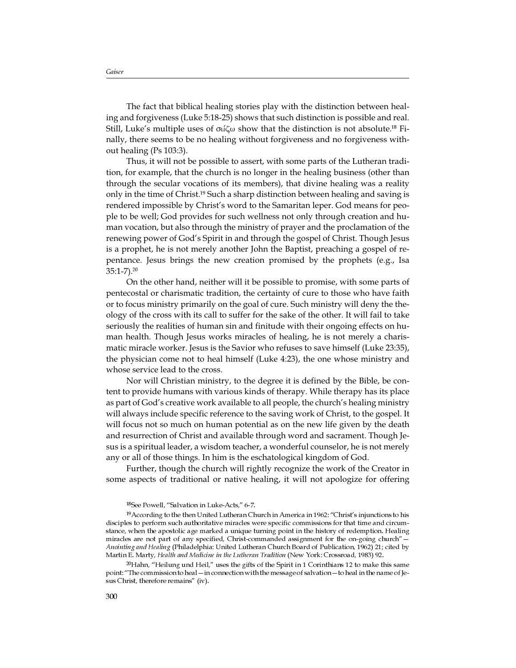The fact that biblical healing stories play with the distinction between healing and forgiveness (Luke 5:18-25) shows that such distinction is possible and real. Still, Luke's multiple uses of  $\sigma\omega\zeta\omega$  show that the distinction is not absolute.<sup>18</sup> Finally, there seems to be no healing without forgiveness and no forgiveness without healing (Ps 103:3).

Thus, it will not be possible to assert, with some parts of the Lutheran tradition, for example, that the church is no longer in the healing business (other than through the secular vocations of its members), that divine healing was a reality only in the time of Christ.<sup>19</sup> Such a sharp distinction between healing and saving is rendered impossible by Christ's word to the Samaritan leper. God means for people to be well; God provides for such wellness not only through creation and human vocation, but also through the ministry of prayer and the proclamation of the renewing power of God's Spirit in and through the gospel of Christ. Though Jesus is a prophet, he is not merely another John the Baptist, preaching a gospel of repentance. Jesus brings the new creation promised by the prophets (e.g., Isa 35:1-7).<sup>20</sup>

On the other hand, neither will it be possible to promise, with some parts of pentecostal or charismatic tradition, the certainty of cure to those who have faith or to focus ministry primarily on the goal of cure. Such ministry will deny the theology of the cross with its call to suffer for the sake of the other. It will fail to take seriously the realities of human sin and finitude with their ongoing effects on human health. Though Jesus works miracles of healing, he is not merely a charismatic miracle worker. Jesus is the Savior who refuses to save himself (Luke 23:35), the physician come not to heal himself (Luke 4:23), the one whose ministry and whose service lead to the cross.

Nor will Christian ministry, to the degree it is defined by the Bible, be content to provide humans with various kinds of therapy. While therapy has its place as part of God's creative work available to all people, the church's healing ministry will always include specific reference to the saving work of Christ, to the gospel. It will focus not so much on human potential as on the new life given by the death and resurrection of Christ and available through word and sacrament. Though Jesus is a spiritual leader, a wisdom teacher, a wonderful counselor, he is not merely any or all of those things. In him is the eschatological kingdom of God.

Further, though the church will rightly recognize the work of the Creator in some aspects of traditional or native healing, it will not apologize for offering

<sup>20</sup>Hahn, "Heilung und Heil," uses the gifts of the Spirit in 1 Corinthians 12 to make this same point: "The commission to heal - in connection with the message of salvation - to heal in the name of Jesus Christ, therefore remains" (iv).

<sup>&</sup>lt;sup>18</sup>See Powell, "Salvation in Luke-Acts," 6-7.

<sup>&</sup>lt;sup>19</sup> According to the then United Lutheran Church in America in 1962: "Christ's injunctions to his disciples to perform such authoritative miracles were specific commissions for that time and circumstance, when the apostolic age marked a unique turning point in the history of redemption. Healing miracles are not part of any specified, Christ-commanded assignment for the on-going church Anointing and Healing (Philadelphia: United Lutheran Church Board of Publication, 1962) 21; cited by Martin E. Marty, Health and Medicine in the Lutheran Tradition (New York: Crossroad, 1983) 92.